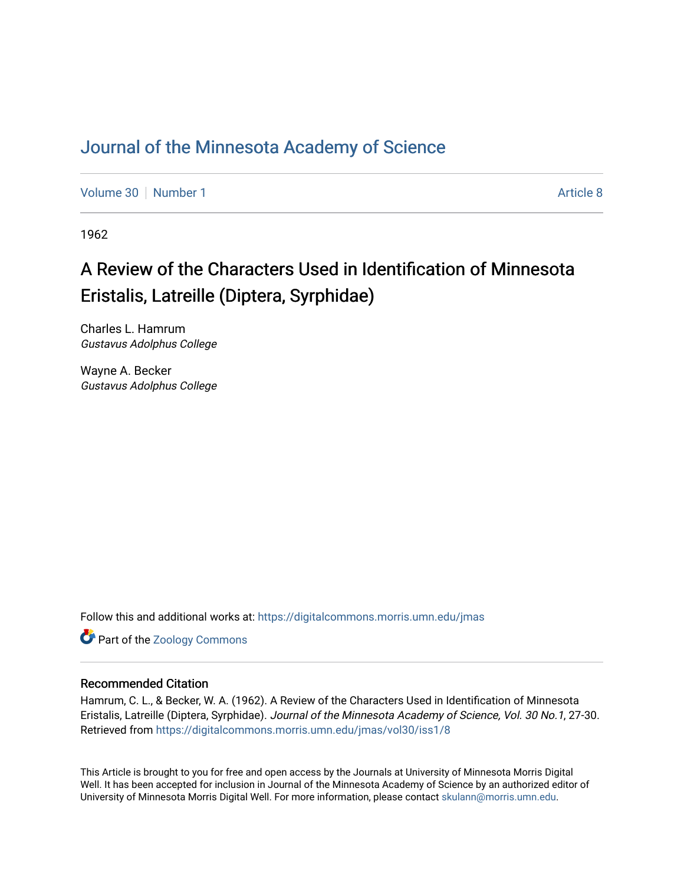### [Journal of the Minnesota Academy of Science](https://digitalcommons.morris.umn.edu/jmas)

[Volume 30](https://digitalcommons.morris.umn.edu/jmas/vol30) [Number 1](https://digitalcommons.morris.umn.edu/jmas/vol30/iss1) [Article 8](https://digitalcommons.morris.umn.edu/jmas/vol30/iss1/8) Article 8

1962

# A Review of the Characters Used in Identification of Minnesota Eristalis, Latreille (Diptera, Syrphidae)

Charles L. Hamrum Gustavus Adolphus College

Wayne A. Becker Gustavus Adolphus College

Follow this and additional works at: [https://digitalcommons.morris.umn.edu/jmas](https://digitalcommons.morris.umn.edu/jmas?utm_source=digitalcommons.morris.umn.edu%2Fjmas%2Fvol30%2Fiss1%2F8&utm_medium=PDF&utm_campaign=PDFCoverPages) 

Part of the [Zoology Commons](https://network.bepress.com/hgg/discipline/81?utm_source=digitalcommons.morris.umn.edu%2Fjmas%2Fvol30%2Fiss1%2F8&utm_medium=PDF&utm_campaign=PDFCoverPages) 

### Recommended Citation

Hamrum, C. L., & Becker, W. A. (1962). A Review of the Characters Used in Identification of Minnesota Eristalis, Latreille (Diptera, Syrphidae). Journal of the Minnesota Academy of Science, Vol. 30 No.1, 27-30. Retrieved from [https://digitalcommons.morris.umn.edu/jmas/vol30/iss1/8](https://digitalcommons.morris.umn.edu/jmas/vol30/iss1/8?utm_source=digitalcommons.morris.umn.edu%2Fjmas%2Fvol30%2Fiss1%2F8&utm_medium=PDF&utm_campaign=PDFCoverPages)

This Article is brought to you for free and open access by the Journals at University of Minnesota Morris Digital Well. It has been accepted for inclusion in Journal of the Minnesota Academy of Science by an authorized editor of University of Minnesota Morris Digital Well. For more information, please contact [skulann@morris.umn.edu](mailto:skulann@morris.umn.edu).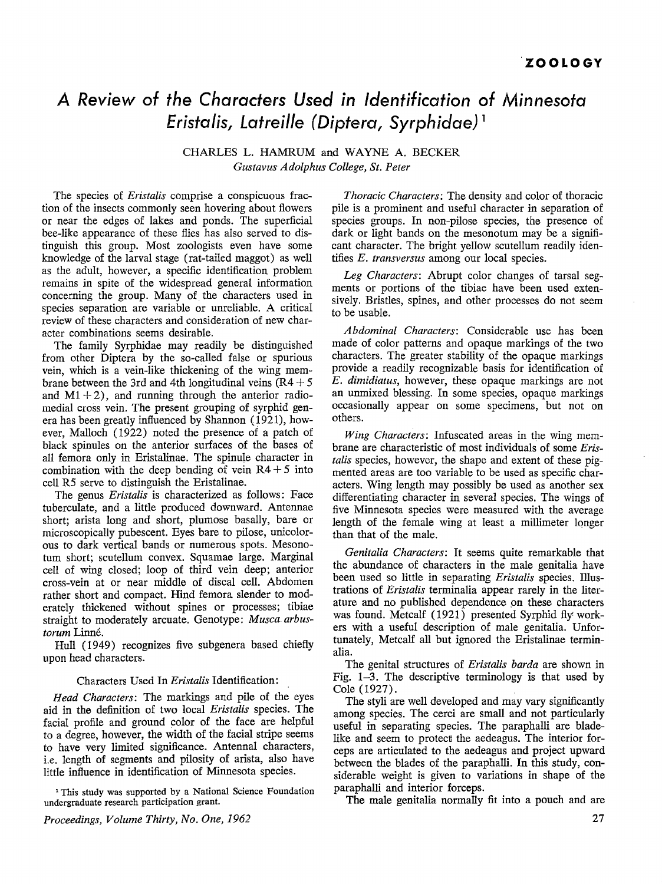## *A Review of the Characters Used in Identification of Minnesota Eristalis, Latreille (Diptera, Syrphidae)* <sup>1</sup>

CHARLES L. HAMRUM and WAYNE A. BECKER *GustavusAdolphus College, St. Peter* 

The species of *Eristalis* comprise a conspicuous fraction of the insects commonly seen hovering about flowers or near the edges of lakes and ponds. The superficial bee-like appearance of these flies has also served to distinguish this group. Most zoologists even have some knowledge of the larval stage (rat-tailed maggot) as well as the adult, however, a specific identification problem remains in spite of the widespread general information concerning the group. Many of the characters used in species separation are variable or unreliable. A critical review of these characters and consideration of new character combinations seems desirable.

The family Syrphidae may readily be distinguished from other Diptera by the so-called false or spurious vein, which is a vein-like thickening of the wing membrane between the 3rd and 4th longitudinal veins  $(R4 + 5)$ and  $M1 + 2$ ), and running through the anterior radiomedial cross vein. The present grouping of syrphid genera has been greatly influenced by Shannon (1921), however, Malloch (1922) noted the presence of a patch of black spinules on the anterior surfaces of the bases of all femora only in Eristalinae. The spinule character in combination with the deep bending of vein  $R4 + 5$  into cell RS serve to distinguish the Eristalinae.

The genus *Eristalis* is characterized as follows: Face tuberculate, and a little produced downward. Antennae short; arista long and short, plumose basally, bare or microscopically pubescent. Eyes bare to pilose, unicolorous to dark vertical bands or numerous spots. Mesonotum short; scutellum convex. Squamae large. Marginal cell of wing closed; loop of third vein deep; anterior cross-vein at or near middle of discal cell. Abdomen rather short and compact. Hind femora slender to moderately thickened without spines or processes; tibiae straight to moderately arcuate. Genotype: *Musca arbustorum* Linne.

Hull ( 1949) recognizes five subgenera based chiefly upon head characters.

#### Characters Used In *Eristalis* Identification:

*Head Characters:* The markings and pile of the eyes aid in the definition of two local *Eristalis* species. The facial profile and ground color of the face are helpful to a degree, however, the width of the facial stripe seems to have very limited significance. Antennal characters, i.e. length of segments and pilosity of arista, also have little influence in identification of Minnesota species.

<sup>1</sup> This study was supported by a National Science Foundation undergraduate research participation grant.

*Thoracic Characters:* The density and color of thoracic pile is a prominent and useful character in separation of species groups. In non-pilose species, the presence of dark or light bands on the mesonotum may be a significant character. The bright yellow scutellum readily identifies *E. transversus* among our local species.

*Leg Characters:* Abrupt color changes of tarsal segments or portions of the tibiae have been used extensively. Bristles, spines, and other processes do not seem to be usable.

*Abdominal Characters:* Considerable use has been made of color patterns and opaque markings of the two characters. The greater stability of the opaque markings provide a readily recognizable basis for identification of *E. dimidiatus,* however, these opaque markings are not an unmixed blessing. In some species, opaque markings occasionally appear on some specimens, but not on others.

*Wing Characters:* Infuscated areas in the wing membrane are characteristic of most individuals of some *Eristalis* species, however, the shape and extent of these pigmented areas are too variable to be used as specific characters. Wing length may possibly be used as another sex differentiating character in several species. The wings of five Minnesota species were measured with the average length of the female wing at least a millimeter longer than that of the male.

*Genitalia Characters:* It seems quite remarkable that the abundance of characters in the male genitalia have been used so little in separating *Eristalis* species. Illustrations of *Eristalis* terminalia appear rarely in the literature and no published dependence on these characters was found. Metcalf (1921) presented Syrphid fly workers with a useful description of male genitalia. Unfortunately, Metcalf all but ignored the Eristalinae terminalia.

The genital structures of *Eristalis barda* are shown in Fig. 1-3. The descriptive terminology is that used by Cole (1927).

The styli are well developed and may vary significantly among species. The cerci are small and not particularly useful in separating species. The paraphalli are bladelike and seem to protect the aedeagus. The interior forceps are articulated to the aedeagus and project upward between the blades of the paraphalli. In this study, considerable weight is given to variations in shape of the paraphalli and interior forceps.

The male genitalia normally fit into a pouch and are

*Proceedings, Volume Thirty, No. One, 1962*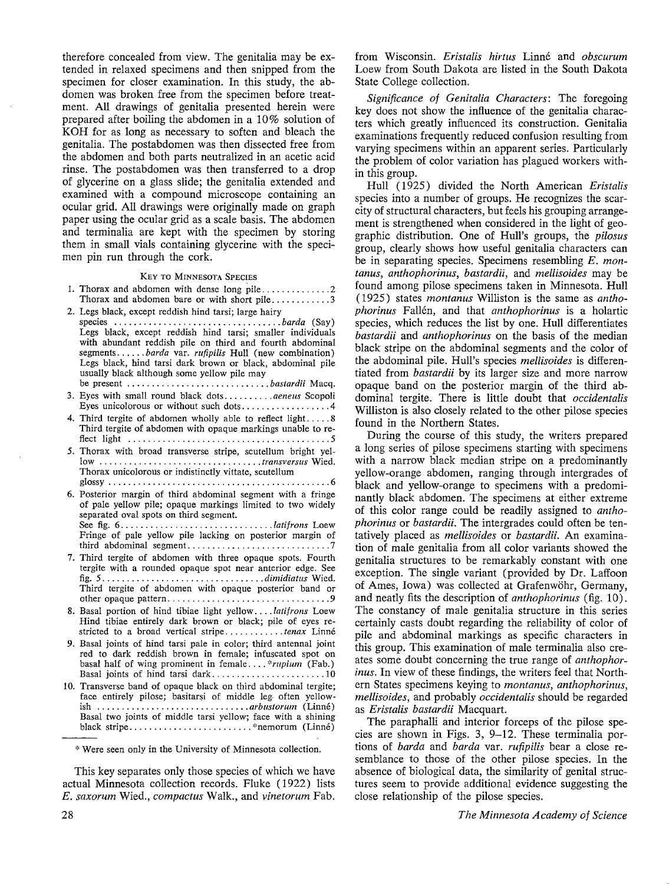therefore concealed from view. The genitalia may be extended in relaxed specimens and then snipped from the specimen for closer examination. In this study, the abdomen was broken free from the specimen before treatment. All drawings of genitalia presented herein were prepared after boiling the abdomen in a 10% solution of KOH for as long as necessary to soften and bleach the genitalia. The postabdomen was then dissected free from the abdomen and both parts neutralized in an acetic acid rinse. The postabdomen was then transferred to a drop of glycerine on a glass slide; the genitalia extended and examined with a compound microscope containing an ocular grid. All drawings were originally made on graph paper using the ocular grid as a scale basis. The abdomen and terminalia are kept with the specimen by storing them in small vials containing glycerine with the specimen pin run through the cork.

#### KEY TO MINNESOTA SPECIES

|                                                       | Thorax and abdomen bare or with short pile3 |
|-------------------------------------------------------|---------------------------------------------|
| 2. Legs black, except reddish hind tarsi; large hairy |                                             |

- species .................................. *barda* (Say) Legs black, except reddish hind tarsi; smaller individuals with abundant reddish pile on third and fourth abdominal segments ...... *barda* var. *rufipilis* Hull (new combination) Legs black, hind tarsi dark brown or black, abdominal pile usually black although some yellow pile may be present ............................. *bastardii* Macq.
- 3. Eyes with small round black dots .......... *aeneus* Scopoli Eyes unicolorous or without such dots .................. 4
- 4. Third tergite of abdomen wholly able to reflect light. .... 8 Third tergite of abdomen with opaque markings unable to reflect light ......................................... 5
- 5. Thorax with broad transverse stripe, scutellum bright yellow ................................. *transversus* Wied. Thorax unicolorous or indistinctly vittate, scutellum glossy ............................................. 6
- 6. Posterior margin of third abdominal segment with a fringe of pale yellow pile; opaque markings limited to two widely separated oval spots on third segment. See fig. 6 ............................... *latifrons* Loew Fringe of pale yellow pile lacking on posterior margin of third abdominal segment ............................. 7
- 7. Third tergite of abdomen with three opaque spots. Fourth tergite with a rounded opaque spot near anterior edge. See fig. 5 ................................. *dimidiatus* Wied. Third tergite of abdomen with opaque posterior band or other opaque pattern ................................. 9
- 8. Basal portion of hind tibiae light yellow .... *latifrons* Loew Hind tibiae entirely dark brown or black; pile of eyes restricted to a broad vertical stripe ............ *tenax* Linne
- 9. Basal joints of hind tarsi pale in color; third antenna! joint red to dark reddish brown in female; infuscated spot on basal half of wing prominent in female.... *\*rupium* (Fab.) Basal joints of hind tarsi dark...............................10
- 10. Transverse band of opaque black on third abdominal tergite; face entirely pilose; basitarsi of middle leg. often yellowish ............................... *arbustorum* (Linne) Basal two joints of middle tarsi yellow; face with a shining black stripe ......................... \*nemorum (Linne)

\* Were seen only in the University of Minnesota collection.

This key separates only those species of which we have actual Minnesota collection records. Fluke (1922) lists *E. saxort.1,m* Wied., *compactus* Walk., and *vinetorum* Fab.

from Wisconsin. *Eristalis hirtus* Linné and *obscurum* Loew from South Dakota are listed in the South Dakota State College collection.

*Significance of Genitalia Characters:* The foregoing key does not show the influence of the genitalia characters which greatly influenced its construction. Genitalia examinations frequently reduced confusion resulting from varying specimens within an apparent series. Particularly the problem of color variation has plagued workers within this group.

Hull (1925) divided the North American *Eristalis*  species into a number of groups. He recognizes the scarcity of structural characters, but feels his grouping arrangement is strengthened when considered in the light of geographic distribution. One of Hull's groups, the *pilosus*  group, clearly shows how useful genitalia characters can be in separating species. Specimens resembling *E. montanus, anthophorinus, bastardii,* and *mellisoides* may be found among pilose specimens taken in Minnesota. Hull ( 1925) states *montanus* Williston is the same as *anthophorinus* Fallen, and that *anthophorinus* is a holartic species, which reduces the list by one. Hull differentiates *bastardii* and *anthophorinus* on the basis of the median black stripe on the abdominal segments and the color of the abdominal pile. Hull's species *mellisoides* is differentiated from *bastardii* by its larger size and more narrow opaque band on the posterior margin of the third abdominal tergite. There is little doubt that *occidentalis*  Williston is also closely related to the other pilose species found in the Northern States.

During the course of this study, the writers prepared a long series of pilose specimens starting with specimens with a narrow black median stripe on a predominantly yellow-orange abdomen, ranging through intergrades of black and yellow-orange to specimens with a predominantly black abdomen. The specimens at either extreme of this color range could be readily assigned to *anthophorinus* or *bastardii.* The intergrades could often be tentatively placed as *mellisoides* or *bastardii.* An examination of male genitalia from all color variants showed the genitalia structures to be remarkably constant with one exception. The single variant (provided by Dr. Laffoon of Ames, Iowa) was collected at Grafenwohr, Germany, and neatly fits the description of *anthophorinus* (fig. 10). The constancy of male genitalia structure in this series certainly casts doubt regarding the reliability of color of pile and abdominal markings as specific characters in this group. This examination of male terminalia also creates some doubt concerning the true range of *anthophorinus.* In view of these findings, the writers feel that Northern States specimens keying to *montanus, anthophorinus, mellisoides,* and probably *occidentalis* should be regarded as *Eristalis bastardii* Macquart.

The paraphalli and interior forceps of the pilose species are shown in Figs. 3, 9-12. These terminalia portions of *barda* and *barda* var. *rufipilis* bear a close resemblance to those of the other pilose species. In the absence of biological data, the similarity of genital structures seem to provide additional evidence suggesting the close relationship of the pilose species.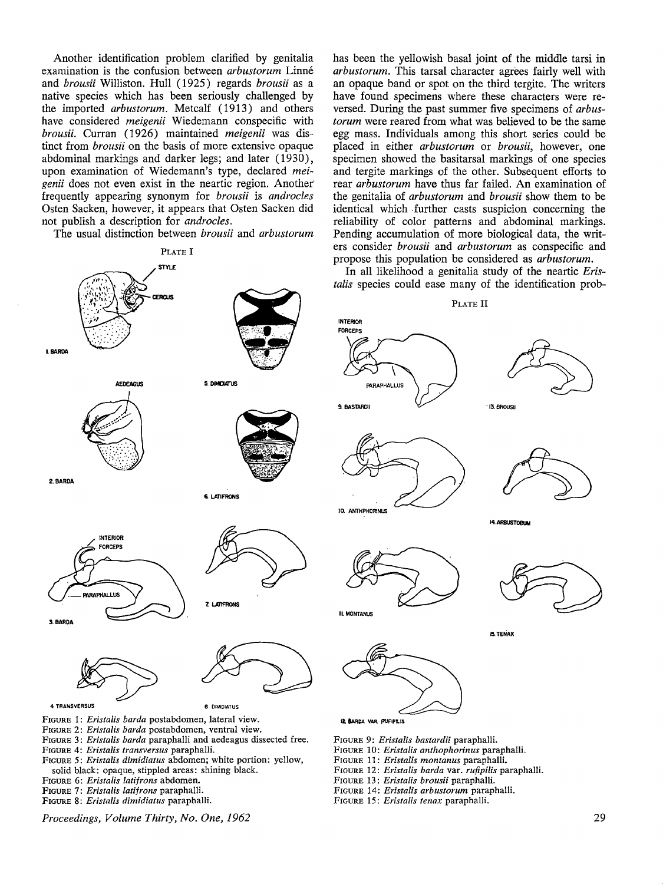Another identification problem clarified by genitalia examination is the confusion between *arbustorum* Linne and *brousii* Williston. Hull (1925) regards *brousii* as a native species which has been seriously challenged by the imported *arbustorum.* Metcalf ( 1913) and others have considered *meigenii* Wiedemann conspecific with *brousii.* Curran ( 1926) maintained *meigenii* was distinct from *brousii* on the basis of more extensive opaque abdominal markings and darker legs; and later (1930), upon examination of Wiedemann's type, declared *meigenii* does not even exist in the neartic region. Another" frequently appearing synonym for *brousii* is *androcles*  Osten Sacken, however, it appears that Osten Sacken did not publish a description for *androcles.* 

The usual distinction between *brousii* and *arbustorum* 



- FIGURE 4: *Eristalis transversus* paraphalli.
- FIGURE 5: *Eristalis dimidiatus* abdomen; white portion: yellow, solid black: opaque, stippled areas: shining black.
- FIGURE 6: *Eristalis latifrons* abdomen.
- FIGURE 7: *Eristalis latifrons* paraphalli.
- FIGURE 8: *Eristalis dimidiatus* paraphalli.

*Proceedings, Volume Thirty, No. One, 1962* 

has been the yellowish basal joint of the middle tarsi **in**  *arbustorum.* This tarsal character agrees fairly well with an opaque band or spot on the third tergite. The writers have found specimens where these characters were reversed. During the past summer five specimens of *arbustorum* were reared from what was believed to be the same egg mass. Individuals among this short series could be placed in either *arbustorum* or *brousii,* however, one specimen showed the basitarsal markings of one species and tergite markings of the other. Subsequent efforts to rear *arbustorum* have thus far failed. An examination of the genitalia of *arbustorum* and *brousii* show them to be identical which further casts suspicion concerning the reliability of color patterns and abdominal markings. Pending accumulation of more biological data, the writers consider *brousii* and *arbustorum* as conspecific and propose this population be considered as *arbustorum.* 

In all likelihood a genitalia study of the neartic *Eristalis* species could ease many of the identification prob-

PLATE II **PARAPHALLUS** "13. BROUSIJ 10. ANTHPHORINUS 14. ARBUSTORUM **1:1. TENAX 11 IIARCA VAA f'UFIPII.IS** 

FIGURE 9: *Eristalis bastardii* paraphalli.

- FIGURE 10: *Eristalis anthophorinus* paraphalli.
- FIGURE 11: *Eristalis montanus* paraphalli.
- FIGURE 12: *Eristalis barda* var. *rufipilis* paraphalli.
- FIGURE 13: *Eristalis brousii* paraphalli.
- FIGURE 14: *Eristalis arbustorum* paraphalli.
- FIGURE 15: *Eristalis tenax* paraphalli.